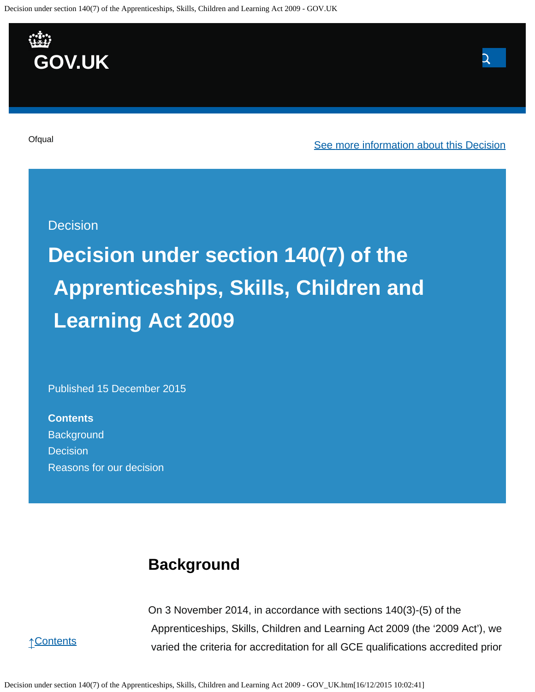Decision under section 140(7) of the Apprenticeships, Skills, Children and Learning Act 2009 - GOV.UK



# **Decision under section 140(7) of the Apprenticeships, Skills, Children and Learning Act 2009**

Published 15 December 2015

**Contents [Background](https://www.gov.uk/government/publications/change-of-accreditation-end-date-legacy-as-and-a-levels-in-business-studies-and-computing/decision-under-section-1407-of-the-apprenticeships-skills-children-and-learning-act-2009#background) [Decision](https://www.gov.uk/government/publications/change-of-accreditation-end-date-legacy-as-and-a-levels-in-business-studies-and-computing/decision-under-section-1407-of-the-apprenticeships-skills-children-and-learning-act-2009#decision)** [Reasons for our decision](https://www.gov.uk/government/publications/change-of-accreditation-end-date-legacy-as-and-a-levels-in-business-studies-and-computing/decision-under-section-1407-of-the-apprenticeships-skills-children-and-learning-act-2009#reasons-for-our-decision)

## **Background**

On 3 November 2014, in accordance with sections 140(3)-(5) of the Apprenticeships, Skills, Children and Learning Act 2009 (the '2009 Act'), we varied the criteria for accreditation for all GCE qualifications accredited prior



Decision under section 140(7) of the Apprenticeships, Skills, Children and Learning Act 2009 - GOV\_UK.htm[16/12/2015 10:02:41]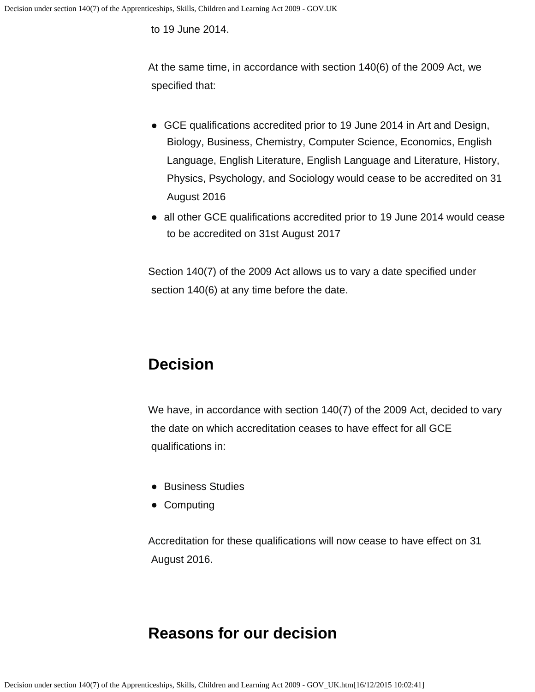to 19 June 2014.

At the same time, in accordance with section 140(6) of the 2009 Act, we specified that:

- GCE qualifications accredited prior to 19 June 2014 in Art and Design, Biology, Business, Chemistry, Computer Science, Economics, English Language, English Literature, English Language and Literature, History, Physics, Psychology, and Sociology would cease to be accredited on 31 August 2016
- all other GCE qualifications accredited prior to 19 June 2014 would cease to be accredited on 31st August 2017

Section 140(7) of the 2009 Act allows us to vary a date specified under section 140(6) at any time before the date.

## **Decision**

We have, in accordance with section 140(7) of the 2009 Act, decided to vary the date on which accreditation ceases to have effect for all GCE qualifications in:

- **Business Studies**
- Computing

Accreditation for these qualifications will now cease to have effect on 31 August 2016.

## **Reasons for our decision**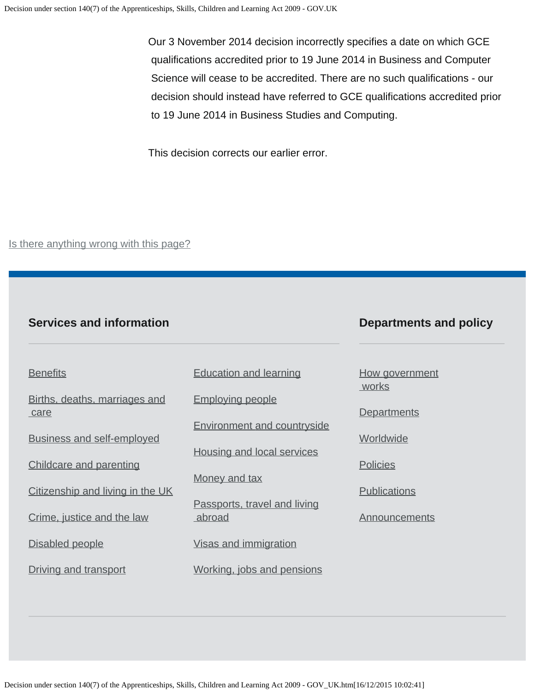Our 3 November 2014 decision incorrectly specifies a date on which GCE qualifications accredited prior to 19 June 2014 in Business and Computer Science will cease to be accredited. There are no such qualifications - our decision should instead have referred to GCE qualifications accredited prior to 19 June 2014 in Business Studies and Computing.

This decision corrects our earlier error.

Is there anything wrong with this page?

#### **Services and information**

#### **Departments and policy**

**[Benefits](https://www.gov.uk/browse/benefits)** 

[Births, deaths, marriages and](https://www.gov.uk/browse/births-deaths-marriages)  [care](https://www.gov.uk/browse/births-deaths-marriages)

[Business and self-employed](https://www.gov.uk/browse/business)

[Childcare and parenting](https://www.gov.uk/browse/childcare-parenting)

[Citizenship and living in the UK](https://www.gov.uk/browse/citizenship)

[Crime, justice and the law](https://www.gov.uk/browse/justice)

[Disabled people](https://www.gov.uk/browse/disabilities)

[Driving and transport](https://www.gov.uk/browse/driving)

[Education and learning](https://www.gov.uk/browse/education)

[Employing people](https://www.gov.uk/browse/employing-people)

[Environment and countryside](https://www.gov.uk/browse/environment-countryside)

[Housing and local services](https://www.gov.uk/browse/housing-local-services)

[Money and tax](https://www.gov.uk/browse/tax)

[Passports, travel and living](https://www.gov.uk/browse/abroad) [abroad](https://www.gov.uk/browse/abroad)

[Visas and immigration](https://www.gov.uk/browse/visas-immigration)

[Working, jobs and pensions](https://www.gov.uk/browse/working)

[How government](https://www.gov.uk/government/how-government-works)  [works](https://www.gov.uk/government/how-government-works)

**[Departments](https://www.gov.uk/government/organisations)** 

**[Worldwide](https://www.gov.uk/government/world)** 

**[Policies](https://www.gov.uk/government/policies)** 

**[Publications](https://www.gov.uk/government/publications)** 

**[Announcements](https://www.gov.uk/government/announcements)**